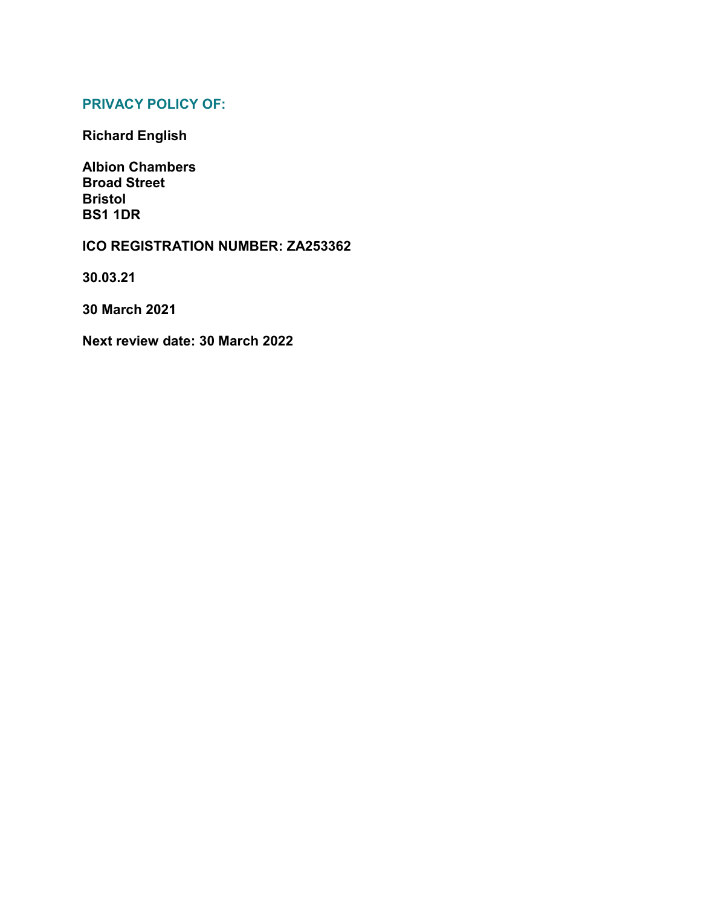## **PRIVACY POLICY OF:**

**Richard English**

**Albion Chambers Broad Street Bristol BS1 1DR**

## **ICO REGISTRATION NUMBER: ZA253362**

**30.03.21**

**30 March 2021**

**Next review date: 30 March 2022**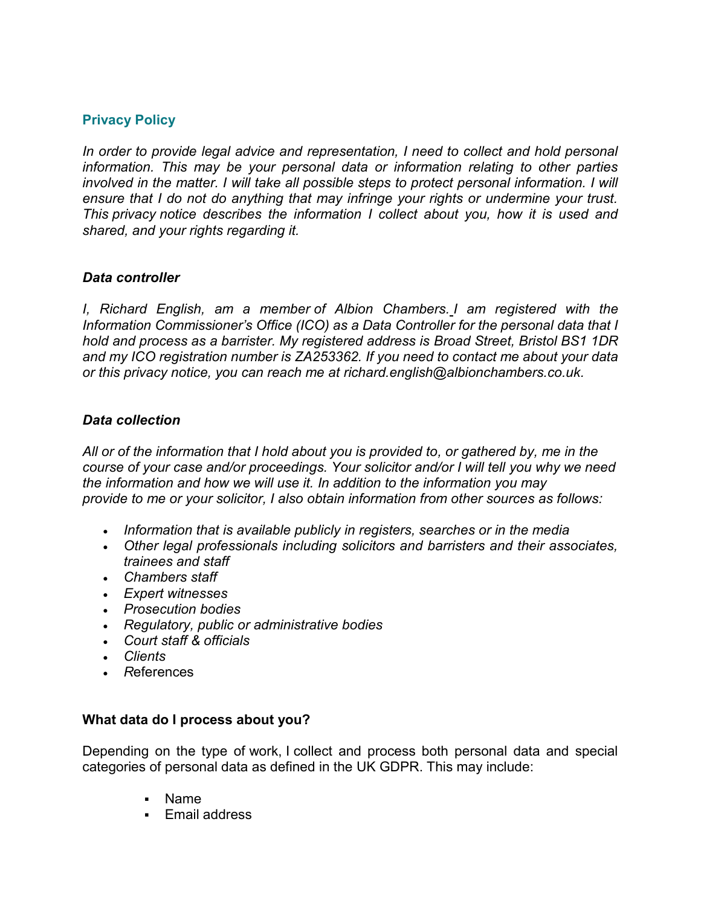## **Privacy Policy**

*In order to provide legal advice and representation, I need to collect and hold personal information. This may be your personal data or information relating to other parties involved in the matter. I will take all possible steps to protect personal information. I will ensure that I do not do anything that may infringe your rights or undermine your trust. This privacy notice describes the information I collect about you, how it is used and shared, and your rights regarding it.*

#### *Data controller*

*I, Richard English, am a member of Albion Chambers. I am registered with the Information Commissioner's Office (ICO) as a Data Controller for the personal data that I hold and process as a barrister. My registered address is Broad Street, Bristol BS1 1DR and my ICO registration number is ZA253362. If you need to contact me about your data or this privacy notice, you can reach me at richard.english@albionchambers.co.uk.*

#### *Data collection*

*All or of the information that I hold about you is provided to, or gathered by, me in the course of your case and/or proceedings. Your solicitor and/or I will tell you why we need the information and how we will use it. In addition to the information you may provide to me or your solicitor, I also obtain information from other sources as follows:*

- *Information that is available publicly in registers, searches or in the media*
- *Other legal professionals including solicitors and barristers and their associates, trainees and staff*
- *Chambers staff*
- *Expert witnesses*
- *Prosecution bodies*
- *Regulatory, public or administrative bodies*
- *Court staff & officials*
- *Clients*
- *R*eferences

## **What data do I process about you?**

Depending on the type of work, I collect and process both personal data and special categories of personal data as defined in the UK GDPR. This may include:

- Name
- **Email address**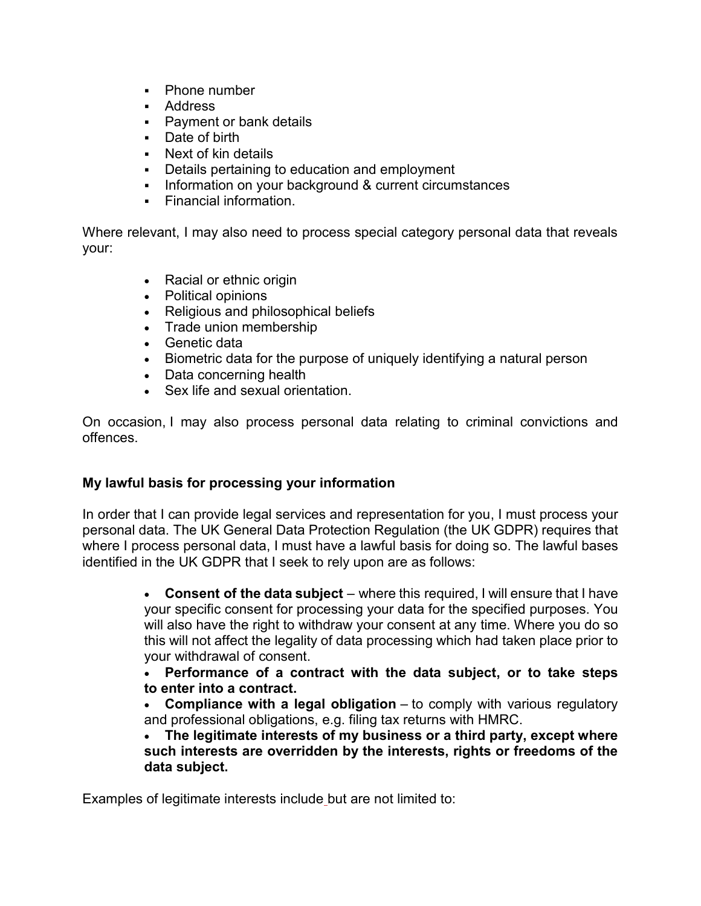- Phone number
- Address
- **Payment or bank details**
- Date of birth
- Next of kin details
- Details pertaining to education and employment
- Information on your background & current circumstances
- Financial information.

Where relevant, I may also need to process special category personal data that reveals your:

- Racial or ethnic origin
- Political opinions
- Religious and philosophical beliefs
- Trade union membership
- Genetic data
- Biometric data for the purpose of uniquely identifying a natural person
- Data concerning health
- Sex life and sexual orientation.

On occasion, I may also process personal data relating to criminal convictions and offences.

# **My lawful basis for processing your information**

In order that I can provide legal services and representation for you, I must process your personal data. The UK General Data Protection Regulation (the UK GDPR) requires that where I process personal data, I must have a lawful basis for doing so. The lawful bases identified in the UK GDPR that I seek to rely upon are as follows:

> **Consent of the data subject** – where this required, I will ensure that I have your specific consent for processing your data for the specified purposes. You will also have the right to withdraw your consent at any time. Where you do so this will not affect the legality of data processing which had taken place prior to your withdrawal of consent.

> **Performance of a contract with the data subject, or to take steps to enter into a contract.**

> **Compliance with a legal obligation** – to comply with various regulatory and professional obligations, e.g. filing tax returns with HMRC.

> **The legitimate interests of my business or a third party, except where such interests are overridden by the interests, rights or freedoms of the data subject.**

Examples of legitimate interests include but are not limited to: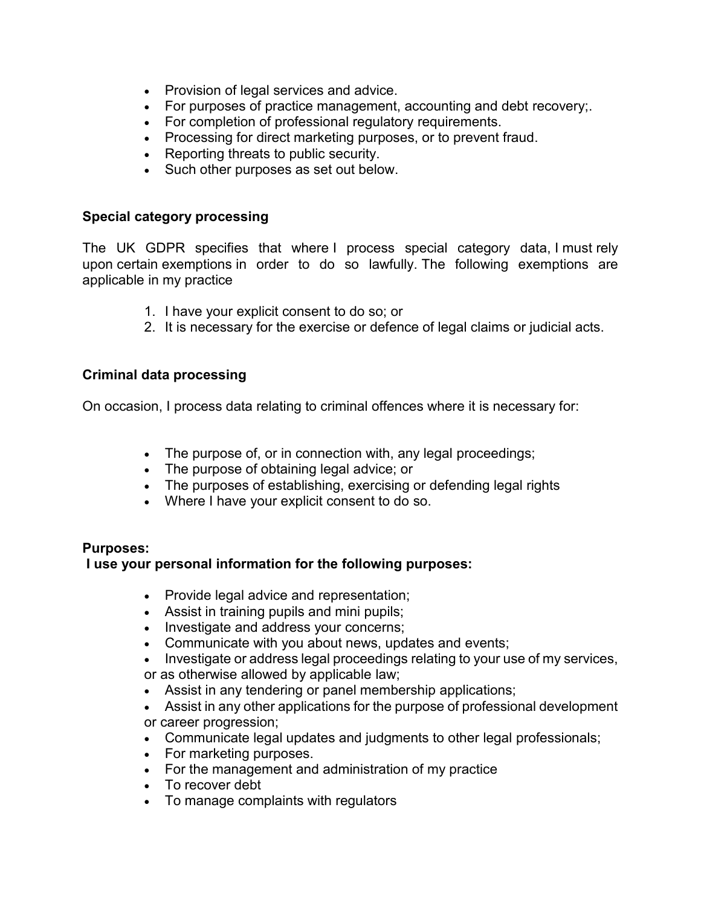- Provision of legal services and advice.
- For purposes of practice management, accounting and debt recovery;.
- For completion of professional regulatory requirements.
- Processing for direct marketing purposes, or to prevent fraud.
- Reporting threats to public security.
- Such other purposes as set out below.

## **Special category processing**

The UK GDPR specifies that where I process special category data, I must rely upon certain exemptions in order to do so lawfully. The following exemptions are applicable in my practice

- 1. I have your explicit consent to do so; or
- 2. It is necessary for the exercise or defence of legal claims or judicial acts.

## **Criminal data processing**

On occasion, I process data relating to criminal offences where it is necessary for:

- The purpose of, or in connection with, any legal proceedings;
- The purpose of obtaining legal advice; or
- The purposes of establishing, exercising or defending legal rights
- Where I have your explicit consent to do so.

## **Purposes:**

# **I use your personal information for the following purposes:**

- Provide legal advice and representation;
- Assist in training pupils and mini pupils;
- Investigate and address your concerns;
- Communicate with you about news, updates and events;
- Investigate or address legal proceedings relating to your use of my services,
- or as otherwise allowed by applicable law;
- Assist in any tendering or panel membership applications;
- Assist in any other applications for the purpose of professional development or career progression;
- Communicate legal updates and judgments to other legal professionals;
- For marketing purposes.
- For the management and administration of my practice
- To recover debt
- To manage complaints with regulators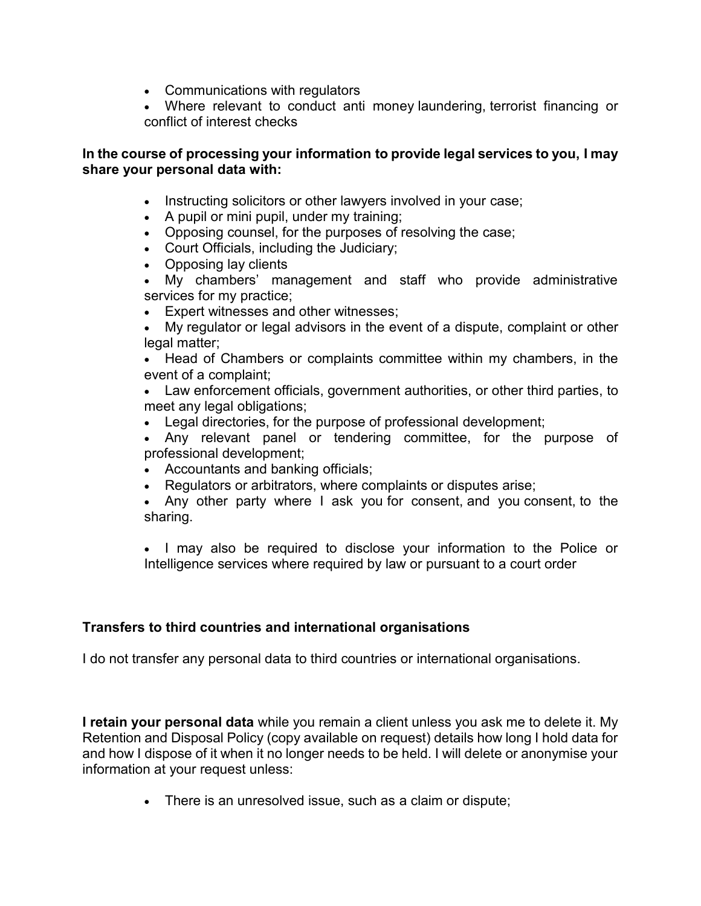- Communications with regulators
- Where relevant to conduct anti money laundering, terrorist financing or conflict of interest checks

## **In the course of processing your information to provide legal services to you, I may share your personal data with:**

- Instructing solicitors or other lawyers involved in your case;
- A pupil or mini pupil, under my training;
- Opposing counsel, for the purposes of resolving the case;
- Court Officials, including the Judiciary;
- Opposing lay clients
- My chambers' management and staff who provide administrative services for my practice;
- **Expert witnesses and other witnesses;**
- My regulator or legal advisors in the event of a dispute, complaint or other legal matter;

 Head of Chambers or complaints committee within my chambers, in the event of a complaint;

 Law enforcement officials, government authorities, or other third parties, to meet any legal obligations;

Legal directories, for the purpose of professional development;

 Any relevant panel or tendering committee, for the purpose of professional development;

- Accountants and banking officials;
- Regulators or arbitrators, where complaints or disputes arise;

 Any other party where I ask you for consent, and you consent, to the sharing.

• I may also be required to disclose your information to the Police or Intelligence services where required by law or pursuant to a court order

# **Transfers to third countries and international organisations**

I do not transfer any personal data to third countries or international organisations.

**I retain your personal data** while you remain a client unless you ask me to delete it. My Retention and Disposal Policy (copy available on request) details how long I hold data for and how I dispose of it when it no longer needs to be held. I will delete or anonymise your information at your request unless:

There is an unresolved issue, such as a claim or dispute;